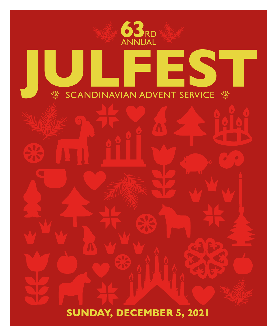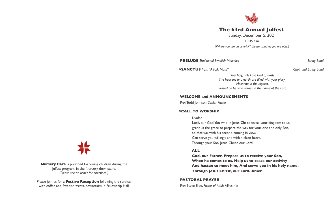

# **The 63rd Annual Julfest**

Sunday, December 5, 2021

10:45 a.m. *(Where you see an asterisk\* please stand as you are able.)*

**PRELUDE** *Traditional Swedish Melodies String Band*

**\*SANCTUS** *from "A Folk Mass" Choir and String Band*

*Holy, holy, holy Lord God of hosts The heavens and earth are filled with your glory Hosanna in the highest, Blessed be he who comes in the name of the Lord*

#### **WELCOME and ANNOUNCEMENTS**

Rev. Todd Johnson, *Senior Pastor* 

#### **\*CALL TO WORSHIP**

#### *Leader*

Lord, our God, You who in Jesus Christ reveal your kingdom to us, grant us the grace to prepare the way for your one and only Son, so that we, with his second coming in view, Can serve you willingly and with a clean heart. Through your Son, Jesus Christ, our Lord.

## **ALL**

**God, our Father, Prepare us to receive your Son, When he comes to us. Help us to cease our activity And hasten to meet him, And serve you in his holy name. Through Jesus Christ, our Lord. Amen.**

#### **PASTORAL PRAYER**

Rev. Steve Elde, *Pastor of Adult Ministries*



**Nursery Care** is provided for young children during the Julfest program, in the Nursery downstairs. *(Please see an usher for directions.)*

Please join us for a **Festive Reception** following the service, with coffee and Swedish treats, downstairs in Fellowship Hall.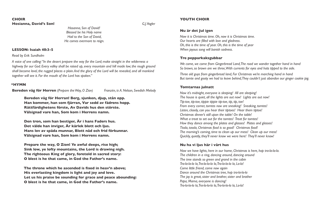**CHOIR Hosianna, David's Son!** *G.J. Vogler*

*Hosanna, Son of David! Blessed be his Holy name Hail to the Son of David, He comes evermore to reign.*

#### **LESSON: Isaiah 40:3-5**

*Read by Erik Sundholm*

*A voice of one calling: "In the desert prepare the way for the Lord; make straight in the wilderness a highway for our God. Every valley shall be raised up, every mountain and hill made low; the rough ground shall become level, the rugged places a plain. And the glory of the Lord will be revealed, and all mankind together will see it. For the mouth of the Lord has spoken."*

## **\*HYMN**

**Bereden väg för Herren** (*Prepare the Way, O Zion) Franzén, tr. A. Nelson, Swedish Melody*

**Bereden väg för Herran! Berg, sjunken, djup, stån opp. Han kommer, han som fjärran, Var sedd av fädrens hopp. Rättfärdighetens förste, Av Davids hus den störste. Välsignad vare han, Som kom i Herrens namn.**

**Den tron, som han bestiger, Är i hans Faders hus. Det välde han inviger, Är kärlek blott och ljus. Hans lov av späda munnar, Blott nåd och frid förkunnar. Välsignad vare han, Som kom i Herrens namn.**

**Prepare the way, O Zion! Ye awful deeps, rise high; Sink low, ye lofty mountains, the Lord is drawing nigh. The righteous King of glory, foretold in sacred story: O blest is he that came, in God the Father's name.**

**The throne which he ascended is fixed in heav'n above; His everlasting kingdom is light and joy and love. Let us his praise be sounding for grace and peace abounding: O blest is he that came, in God the Father's name.**

## **YOUTH CHOIR**

## **Nu är det Jul igen**

*Now it is Christmas time. Oh, now it is Christmas time. Our hearts are filled with love and gladness. Oh, this is the time of year. Oh, this is the time of year When joyous song will banish sadness.*

## **Tre pepparkaksgubbar**

*We come, we come from Gingerbread Land, The road we wander together hand in hand So brown, so brown are we three, With currents for eyes and hats tipped to the side.*

*Three old guys from gingerbread land, For Christmas we're marching hand in hand But tomte and goaty we had to leave behind, They couldn't just abandon our ginger cookie pig.*

## **Tomtarnas julnatt**

*Now it's midnight, everyone is sleeping! All are sleeping! The house is quiet, all the lights are out now! Lights are out now! Tip-toe, tip-toe, tippie tippie tip-toe, tip, tip, toe! From every corner, tomtes now are sneaking! Sneaking, tomtes! Listen, closely, can you hear their tiptoes! Hear them tiptoe! Christmas dinner's still upon the table! On the table! What a treat to set out for the tomtes! Treat for tomtes! How they dance among the plates and glasses! Plates and glasses! Tissla, tassla, Christmas food is so good! Christmas food! The morning's coming, time to clean up our mess! Clean up our mess! Quickly, quietly, they'll never know we were here! They'll never know!*

## **Nu ha vi ljus här i vårt hus**

*Now we have lights, here in our home, Christmas is here, hop tra-la-la-la. The children in a ring, dancing around, dancing around The tree stands so green and grand in the cabin Tra-la-la-la la, Tra-la-la-la la, Tra-la-la-la la, La-la! Come little friend, come now again Dance around the Christmas tree, hop tra-la-la-la The joy is great, sister and brother, sister and brother Papa, Mama, everyone is dancing! Tra-la-la-la la, Tra-la-la-la la, Tra-la-la-la la, La-la!*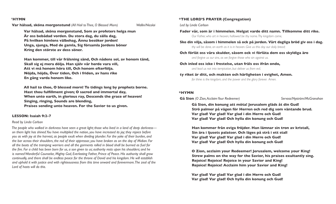#### \***HYMN**

**Var hälsad, sköna morgonstund** *(All Hail to Thee, O Blessed Morn) Wallin/Nicolai*

**Var hälsad, sköna morgonstund, Som av profeters helga mun Är oss bebådad vorden. Du stora dag, du sälla dag, På hvilken himlens välbehag, Ännu besöker jorden! Unga, sjunga, Med de gamla, Sig församla Jordens böner Kring den störste av dess söner.**

**Han kommer, till vår frälsning sänd, Och nådens sol, av honom tänd, Skall sig ej mera dölja. Han själv vår herde vara vill, Att vi må honom höra till, Och honom efterfölja. Nöjda, höjda, Över tiden, Och i friden, av hans rike En gång varda honom like.**

**All hail to thee, O blessed morn! To tidings long by prophets borne. Hast thou fulfillment given; O sacred and immortal day, When unto earth, in glorious ray, Descends the grace of heaven! Singing, ringing, Sounds are blending, Praises sending unto heaven. For the Savior to us given.**

## **LESSON: Isaiah 9:2-7**

## *Read by Linda Carlson*

*The people who walked in darkness have seen a great light; those who lived in a land of deep darkness on them light has shined. You have multiplied the nation, you have increased its joy; they rejoice before you as with joy at the harvest, as people exult when dividing plunder. For the yoke of their burden, and the bar across their shoulders, the rod of their oppressor, you have broken as on the day of Midian. For all the boots of the tramping warriors and all the garments rolled in blood shall be burned as fuel for the fire. For a child has been born for us, a son given to us; authority rests upon his shoulders; and he is named Wonderful Counselor, Mighty God, Everlasting Father, Prince of Peace. His authority shall grow continually, and there shall be endless peace for the throne of David and his kingdom. He will establish and uphold it with justice and with righteousness from this time onward and forevermore. The zeal of the Lord of hosts will do this.*

## **\*THE LORD'S PRAYER (Congregation)**

#### *Led by Linda Carlson*

- **Fader vår, som är i himmelen. Helgat varde ditt namn. Tillkomme ditt rike.** *Our Father, who art in heaven, hallowed be thy name. Thy kingdom come,*
- **Ske din vilja, såsom i himmelen så ock på jorden. Vårt dagliga bröd giv oss i dag.** *thy will be done, on earth as it is in heaven. Give us this day our daily bread;*

# **Och förlåt oss våra skulder, såsom ock vi förlåta dem oss skyldiga äro** *and forgive us our sins, as we forgive those who sin against us.*

## **Och inled oss icke i frestelse, utan fräls oss ifrån ondo,** *and lead us not into temptation, but deliver us from evil,*

## **ty riket är ditt, och makten och härligheten i evighet, Amen.** *for thine is the kingdom, and the power and the glory forever. Amen.*

## **\*HYMN**

**Gå Sion** *(O Zion, Acclaim Your Redeemer) Servoss/Nyström/McGranahan*

**Gå Sion, din konung att möta! Jerusalem gläds åt din Gud! Strö palmer på vägen för Herren och red dig som väntande brud. Var glad! Var glad! Var glad i din Herre och Gud! Var glad! Var glad! Och hylla din konung och Gud!**

**Han kommer från eviga fröjder. Han lämnar sin tron av kristall, Sin ära i ljusets palatser. Och läges på strå i ett stall Var glad! Var glad! Var glad i din Herre och Gud! Var glad! Var glad! Och hylla din konung och Gud!**

**O Zion, acclaim your Redeemer! Jerusalem, welcome your King! Strew palms on the way for the Savior, his praises exultantly sing. Rejoice! Rejoice! Rejoice in your Savior and King! Rejoice! Rejoice! Acclaim him your Savior and King!**

**Var glad! Var glad! Var glad i din Herre och Gud! Var glad! Var glad! Och hylla din konung och Gud!**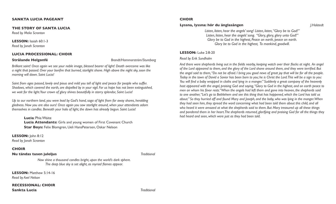#### **SANKTA LUCIA PAGEANT**

#### **THE STORY OF SANTA LUCIA**

*Read by Melia Scranton*

**LESSON:** Isaiah 60:1-3 *Read by Jonah Scranton*

#### **LUCIA PROCESSIONAL: CHOIR**

**Strålande Helgonfé** *Brandt/Hammarström/Stureborg*

*Brilliant saint! Once again we see your noble image, blessed bearer of light! Death overcome was like a night that passed. Over your bonfire that burned, starlight shone. High above the night sky, soon the morning will dawn. Saint Lucia!*

*Saint from ages passed, lovely and pious and mild you tell of light and peace for people who suffer. Shadows, which covered the earth, are dispelled by in your vigil. For us hope has not been extinguished, we wait for the light. Your crown of glory shines beautifully in starry splendor, Saint Lucia!*

*Up to our northern land, you were lead by God's hand, saga of light from far away shores, heralding gladness. Now you are also ours! Once again you sow starlight around, when your attendants adorn themselves in candles. Beneath your halo of light, the dawn has already begun. Saint Lucia!*

**Lucia**: Phia Waite

**Lucia Attendants:** Girls and young women of First Covenant Church **Star Boys:** Felix Blomgren, Ueli HansPetersen, Oskar Nelson

**LESSON:** John 8:12 *Read by Jonah Scranton*

#### **CHOIR**

#### **Nu tändas tusen juleljus** *Traditional*

*Now shine a thousand candles bright, upon the world's dark sphere. The deep blue sky is set alight, as myriad flames appear.*

**LESSON:** Matthew 5:14-16 *Read by Axel Nelson*

**RECESSIONAL: CHOIR Sankta Lucia** *Traditional* **CHOIR** 

## **Lyssna, lyssna: hör du änglasången** *J.Holstedt*

*Listen, listen, hear the angels' song! Listen, listen, "Glory be to God!" Listen, listen, hear the angels' song. "Glory, glory, glory unto God!" Glory be to God in the highest, Peace on earth, peace on earth. Glory be to God in the highest, To mankind, goodwill.*

#### **LESSON:** Luke 2:8-20

#### *Read by Erik Sundholm*

*And there were shepherds living out in the fields nearby, keeping watch over their flocks at night. An angel of the Lord appeared to them, and the glory of the Lord shone around them, and they were terrified. But the angel said to them, "Do not be afraid. I bring you good news of great joy that will be for all the people. Today in the town of David a Savior has been born to you; he is Christ the Lord. This will be a sign to you: You will find a baby wrapped in cloths and lying in a manger." Suddenly a great company of the heavenly host appeared with the angel, praising God and saying, "Glory to God in the highest, and on earth peace to men on whom his favor rests." When the angels had left them and gone into heaven, the shepherds said to one another, "Let's go to Bethlehem and see this thing that has happened, which the Lord has told us about." So they hurried off and found Mary and Joseph, and the baby, who was lying in the manger. When they had seen him, they spread the word concerning what had been told them about this child, and all who heard it were amazed at what the shepherds said to them. But Mary treasured up all these things and pondered them in her heart. The shepherds returned, glorifying and praising God for all the things they had heard and seen, which were just as they had been told.*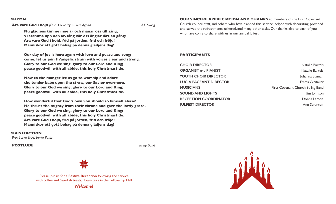**\*HYMN**

**Ära vare Gud i höjd** *(Our Day of Joy is Here Again) A.L. Skoog*

**Nu glädjens timme inne är och manar oss till sång, Vi stämma upp den lovsång kär oss änglar lärt en gång: Ära vare Gud i höjd, frid på jorden, frid och fröjd! Människor ett gott behag på denna glädjens dag!**

**Our day of joy is here again with love and peace and song; come, let us join th'angelic strain with voices clear and strong. Glory to our God we sing, glory to our Lord and King; peace goodwill with all abide, this holy Christmastide.**

**Now to the manger let us go to worship and adore the tender babe upon the straw, our Savior evermore. Glory to our God we sing, glory to our Lord and King; peace goodwill with all abide, this holy Christmastide.**

**How wonderful that God's own Son should so himself abase! He thrust the mighty from their throne and gave the lowly grace. Glory to our God we sing, glory to our Lord and King; peace goodwill with all abide, this holy Christmastide. Ära vare Gud i höjd, frid på jorden, frid och fröjd! Människor ett gott behag på denna glädjens dag!**

**OUR SINCERE APPRECIATION AND THANKS** to members of the First Covenant Church council, staff, and others who have planned this service, helped with decorating, provided and served the refreshments, ushered, and many other tasks. Our thanks also to each of you who have come to share with us in our annual Julfest.

# **PARTICIPANTS**

| <b>CHOIR DIRECTOR</b>         | Natalie Bartels                   |
|-------------------------------|-----------------------------------|
| <b>ORGANIST and PIANIST</b>   | Natalie Bartels                   |
| YOUTH CHOIR DIRECTOR          | Johanna Staman                    |
| <b>LUCIA PAGEANT DIRECTOR</b> | Emma Whitaker                     |
| <b>MUSICIANS</b>              | First Covenant Church String Band |
|                               |                                   |
| <b>SOUND AND LIGHTS</b>       | Jim Johnson                       |
| <b>RECEPTION COORDINATOR</b>  | Donna Larson                      |

**\*BENEDICTION**

Rev. Steve Elde, *Senior Pastor* 

## **POSTLUDE** *String Band*

Please join us for a **Festive Reception** following the service, with coffee and Swedish treats, downstairs in the Fellowship Hall.

*Welcome!*